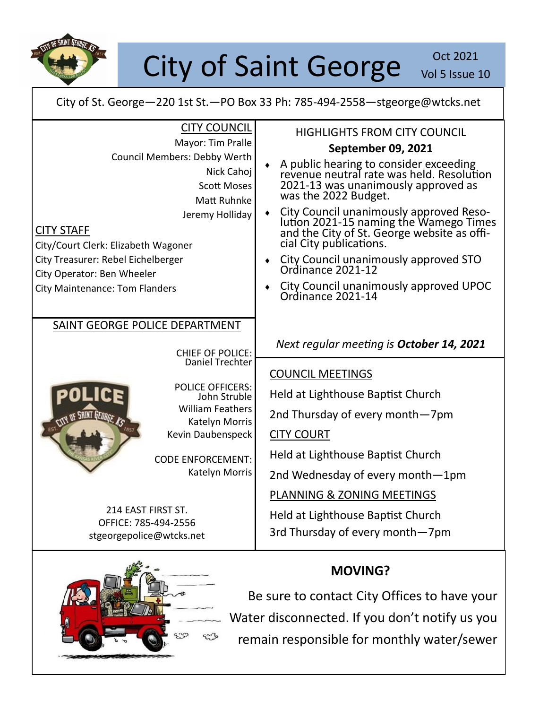

## City of Saint George Vol 5 Issue 2

Vol 5 Issue 10

City of St. George—220 1st St.—PO Box 33 Ph: 785-494-2558—stgeorge@wtcks.net

| <b>CITY COUNCIL</b><br>Mayor: Tim Pralle<br>Council Members: Debby Werth<br>Nick Cahoj<br><b>Scott Moses</b><br><b>Matt Ruhnke</b><br>Jeremy Holliday<br><b>CITY STAFF</b><br>City/Court Clerk: Elizabeth Wagoner<br>City Treasurer: Rebel Eichelberger<br>City Operator: Ben Wheeler<br><b>City Maintenance: Tom Flanders</b> | <b>HIGHLIGHTS FROM CITY COUNCIL</b><br><b>September 09, 2021</b><br>A public hearing to consider exceeding<br>revenue neutral rate was held. Resolution<br>2021-13 was unanimously approved as<br>was the 2022 Budget.<br>City Council unanimously approved Reso-<br>lution 2021-15 naming the Wamego Times<br>and the City of St. George website as offi-<br>٠<br>cial City publications.<br>City Council unanimously approved STO<br>Ordinance 2021-12<br>City Council unanimously approved UPOC<br>Ordinance 2021-14 |
|--------------------------------------------------------------------------------------------------------------------------------------------------------------------------------------------------------------------------------------------------------------------------------------------------------------------------------|-------------------------------------------------------------------------------------------------------------------------------------------------------------------------------------------------------------------------------------------------------------------------------------------------------------------------------------------------------------------------------------------------------------------------------------------------------------------------------------------------------------------------|
| SAINT GEORGE POLICE DEPARTMENT<br><b>CHIEF OF POLICE:</b><br><b>Daniel Trechter</b><br><b>POLICE OFFICERS:</b><br>John Struble<br><b>William Feathers</b><br>CITY OF SHINT GEORGE AS<br>Katelyn Morris<br>Kevin Daubenspeck<br><b>CODE ENFORCEMENT:</b><br>Katelyn Morris                                                      | Next regular meeting is <b>October 14, 2021</b><br><b>COUNCIL MEETINGS</b><br>Held at Lighthouse Baptist Church<br>2nd Thursday of every month-7pm<br><b>CITY COURT</b><br>Held at Lighthouse Baptist Church<br>2nd Wednesday of every month-1pm                                                                                                                                                                                                                                                                        |
| 214 EAST FIRST ST.<br>OFFICE: 785-494-2556<br>stgeorgepolice@wtcks.net                                                                                                                                                                                                                                                         | PLANNING & ZONING MEETINGS<br>Held at Lighthouse Baptist Church<br>3rd Thursday of every month-7pm                                                                                                                                                                                                                                                                                                                                                                                                                      |



## **MOVING?**

Be sure to contact City Offices to have your Water disconnected. If you don't notify us you remain responsible for monthly water/sewer